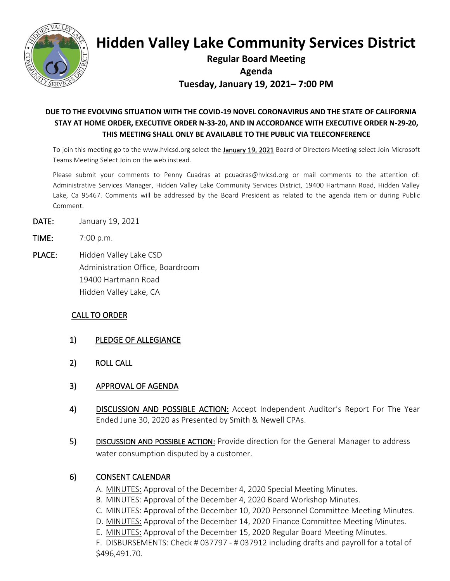

# **Hidden Valley Lake Community Services District**

# **Regular Board Meeting Agenda Tuesday, January 19, 2021– 7:00 PM**

## **DUE TO THE EVOLVING SITUATION WITH THE COVID-19 NOVEL CORONAVIRUS AND THE STATE OF CALIFORNIA STAY AT HOME ORDER, EXECUTIVE ORDER N-33-20, AND IN ACCORDANCE WITH EXECUTIVE ORDER N-29-20, THIS MEETING SHALL ONLY BE AVAILABLE TO THE PUBLIC VIA TELECONFERENCE**

To join this meeting go to the www.hvlcsd.org select the January 19, 2021 Board of Directors Meeting select Join Microsoft Teams Meeting Select Join on the web instead.

Please submit your comments to Penny Cuadras at pcuadras@hvlcsd.org or mail comments to the attention of: Administrative Services Manager, Hidden Valley Lake Community Services District, 19400 Hartmann Road, Hidden Valley Lake, Ca 95467. Comments will be addressed by the Board President as related to the agenda item or during Public Comment.

- DATE: January 19, 2021
- TIME: 7:00 p.m.
- PLACE: Hidden Valley Lake CSD Administration Office, Boardroom 19400 Hartmann Road Hidden Valley Lake, CA

#### CALL TO ORDER

- 1) PLEDGE OF ALLEGIANCE
- 2) ROLL CALL
- 3) APPROVAL OF AGENDA
- 4) DISCUSSION AND POSSIBLE ACTION: Accept Independent Auditor's Report For The Year Ended June 30, 2020 as Presented by Smith & Newell CPAs.
- 5) DISCUSSION AND POSSIBLE ACTION: Provide direction for the General Manager to address water consumption disputed by a customer.

#### 6) CONSENT CALENDAR

- A. MINUTES: Approval of the December 4, 2020 Special Meeting Minutes.
- B. MINUTES: Approval of the December 4, 2020 Board Workshop Minutes.
- C. MINUTES: Approval of the December 10, 2020 Personnel Committee Meeting Minutes.
- D. MINUTES: Approval of the December 14, 2020 Finance Committee Meeting Minutes.
- E. MINUTES: Approval of the December 15, 2020 Regular Board Meeting Minutes.

F. DISBURSEMENTS: Check # 037797 - # 037912 including drafts and payroll for a total of \$496,491.70.